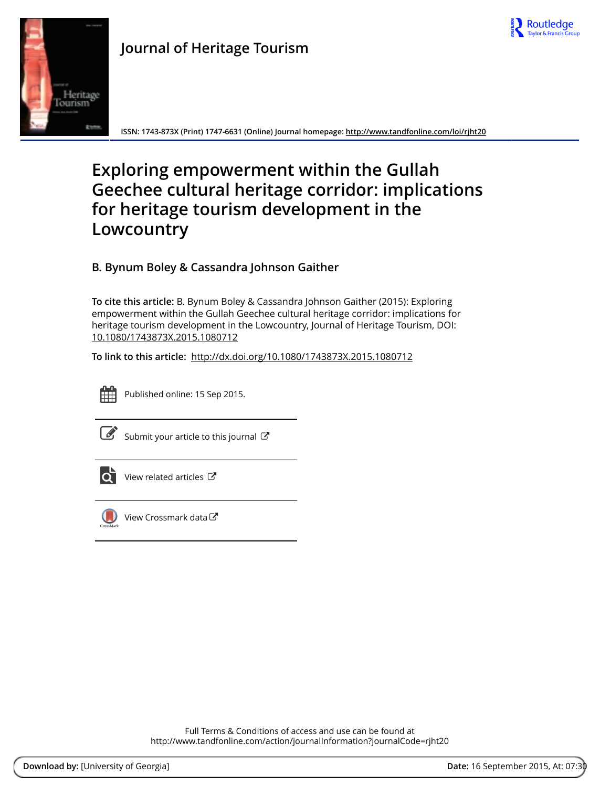

# Heritage<br>Tourism 陈生

**Journal of Heritage Tourism**

**ISSN: 1743-873X (Print) 1747-6631 (Online) Journal homepage: <http://www.tandfonline.com/loi/rjht20>**

# **Exploring empowerment within the Gullah Geechee cultural heritage corridor: implications for heritage tourism development in the Lowcountry**

**B. Bynum Boley & Cassandra Johnson Gaither**

**To cite this article:** B. Bynum Boley & Cassandra Johnson Gaither (2015): Exploring empowerment within the Gullah Geechee cultural heritage corridor: implications for heritage tourism development in the Lowcountry, Journal of Heritage Tourism, DOI: [10.1080/1743873X.2015.1080712](http://www.tandfonline.com/action/showCitFormats?doi=10.1080/1743873X.2015.1080712)

**To link to this article:** <http://dx.doi.org/10.1080/1743873X.2015.1080712>



Published online: 15 Sep 2015.



[Submit your article to this journal](http://www.tandfonline.com/action/authorSubmission?journalCode=rjht20&page=instructions)  $\mathbb{Z}$ 



[View related articles](http://www.tandfonline.com/doi/mlt/10.1080/1743873X.2015.1080712) C



[View Crossmark data](http://crossmark.crossref.org/dialog/?doi=10.1080/1743873X.2015.1080712&domain=pdf&date_stamp=2015-09-15)

Full Terms & Conditions of access and use can be found at <http://www.tandfonline.com/action/journalInformation?journalCode=rjht20>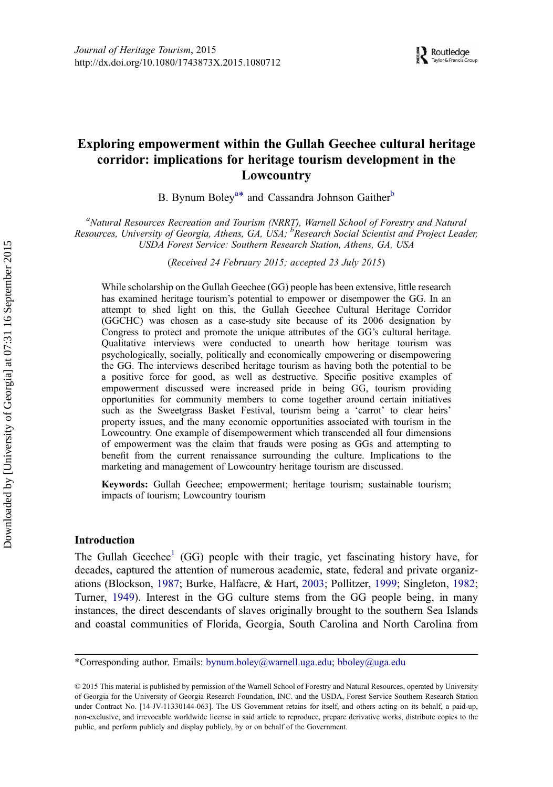# Exploring empowerment within the Gullah Geechee cultural heritage corridor: implications for heritage tourism development in the Lowcountry

B. Bynum Boley<sup>a\*</sup> and Cassandra Johnson Gaither<sup>b</sup>

<sup>a</sup>Natural Resources Recreation and Tourism (NRRT), Warnell School of Forestry and Natural Resources, University of Georgia, Athens, GA, USA; <sup>b</sup>Research Social Scientist and Project Leader, USDA Forest Service: Southern Research Station, Athens, GA, USA

(Received 24 February 2015; accepted 23 July 2015)

While scholarship on the Gullah Geechee (GG) people has been extensive, little research has examined heritage tourism's potential to empower or disempower the GG. In an attempt to shed light on this, the Gullah Geechee Cultural Heritage Corridor (GGCHC) was chosen as a case-study site because of its 2006 designation by Congress to protect and promote the unique attributes of the GG's cultural heritage. Qualitative interviews were conducted to unearth how heritage tourism was psychologically, socially, politically and economically empowering or disempowering the GG. The interviews described heritage tourism as having both the potential to be a positive force for good, as well as destructive. Specific positive examples of empowerment discussed were increased pride in being GG, tourism providing opportunities for community members to come together around certain initiatives such as the Sweetgrass Basket Festival, tourism being a 'carrot' to clear heirs' property issues, and the many economic opportunities associated with tourism in the Lowcountry. One example of disempowerment which transcended all four dimensions of empowerment was the claim that frauds were posing as GGs and attempting to benefit from the current renaissance surrounding the culture. Implications to the marketing and management of Lowcountry heritage tourism are discussed.

Keywords: Gullah Geechee; empowerment; heritage tourism; sustainable tourism; impacts of tourism; Lowcountry tourism

## Introduction

The Gullah Geechee<sup>[1](#page-19-0)</sup> (GG) people with their tragic, yet fascinating history have, for decades, captured the attention of numerous academic, state, federal and private organizations (Blockson, [1987](#page-20-0); Burke, Halfacre, & Hart, [2003;](#page-20-0) Pollitzer, [1999](#page-21-0); Singleton, [1982;](#page-22-0) Turner, [1949](#page-22-0)). Interest in the GG culture stems from the GG people being, in many instances, the direct descendants of slaves originally brought to the southern Sea Islands and coastal communities of Florida, Georgia, South Carolina and North Carolina from

<sup>\*</sup>Corresponding author. Emails: [bynum.boley@warnell.uga.edu](mailto:bynum.boley@warnell.uga.edu); [bboley@uga.edu](mailto:bboley@uga.edu)

<sup>© 2015</sup> This material is published by permission of the Warnell School of Forestry and Natural Resources, operated by University of Georgia for the University of Georgia Research Foundation, INC. and the USDA, Forest Service Southern Research Station under Contract No. [14-JV-11330144-063]. The US Government retains for itself, and others acting on its behalf, a paid-up, non-exclusive, and irrevocable worldwide license in said article to reproduce, prepare derivative works, distribute copies to the public, and perform publicly and display publicly, by or on behalf of the Government.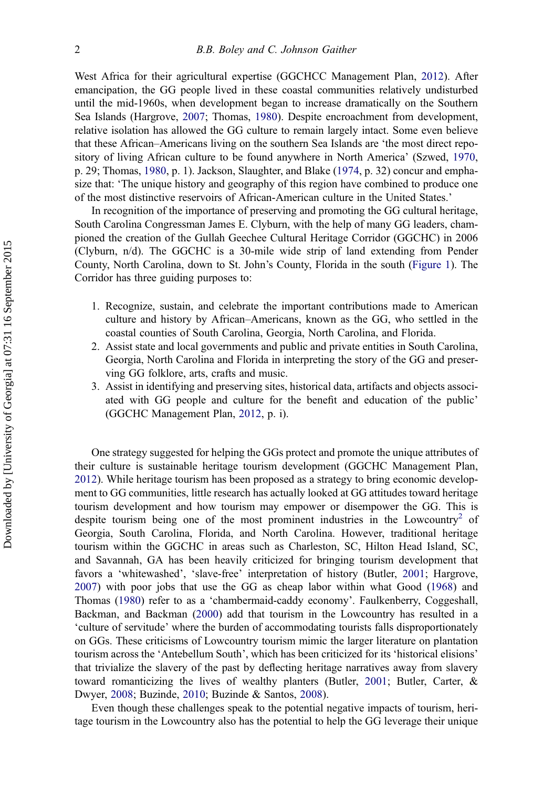West Africa for their agricultural expertise (GGCHCC Management Plan, [2012](#page-21-0)). After emancipation, the GG people lived in these coastal communities relatively undisturbed until the mid-1960s, when development began to increase dramatically on the Southern Sea Islands (Hargrove, [2007;](#page-21-0) Thomas, [1980\)](#page-22-0). Despite encroachment from development, relative isolation has allowed the GG culture to remain largely intact. Some even believe that these African–Americans living on the southern Sea Islands are 'the most direct repository of living African culture to be found anywhere in North America' (Szwed, [1970](#page-22-0), p. 29; Thomas, [1980](#page-22-0), p. 1). Jackson, Slaughter, and Blake ([1974,](#page-21-0) p. 32) concur and emphasize that: 'The unique history and geography of this region have combined to produce one of the most distinctive reservoirs of African-American culture in the United States.'

In recognition of the importance of preserving and promoting the GG cultural heritage, South Carolina Congressman James E. Clyburn, with the help of many GG leaders, championed the creation of the Gullah Geechee Cultural Heritage Corridor (GGCHC) in 2006 (Clyburn, n/d). The GGCHC is a 30-mile wide strip of land extending from Pender County, North Carolina, down to St. John's County, Florida in the south ([Figure 1](#page-3-0)). The Corridor has three guiding purposes to:

- 1. Recognize, sustain, and celebrate the important contributions made to American culture and history by African–Americans, known as the GG, who settled in the coastal counties of South Carolina, Georgia, North Carolina, and Florida.
- 2. Assist state and local governments and public and private entities in South Carolina, Georgia, North Carolina and Florida in interpreting the story of the GG and preserving GG folklore, arts, crafts and music.
- 3. Assist in identifying and preserving sites, historical data, artifacts and objects associated with GG people and culture for the benefit and education of the public' (GGCHC Management Plan, [2012](#page-21-0), p. i).

One strategy suggested for helping the GGs protect and promote the unique attributes of their culture is sustainable heritage tourism development (GGCHC Management Plan, [2012\)](#page-21-0). While heritage tourism has been proposed as a strategy to bring economic development to GG communities, little research has actually looked at GG attitudes toward heritage tourism development and how tourism may empower or disempower the GG. This is despite tourism being one of the most prominent industries in the Lowcountry<sup>2</sup> of Georgia, South Carolina, Florida, and North Carolina. However, traditional heritage tourism within the GGCHC in areas such as Charleston, SC, Hilton Head Island, SC, and Savannah, GA has been heavily criticized for bringing tourism development that favors a 'whitewashed', 'slave-free' interpretation of history (Butler, [2001](#page-20-0); Hargrove, [2007\)](#page-21-0) with poor jobs that use the GG as cheap labor within what Good [\(1968](#page-21-0)) and Thomas ([1980\)](#page-22-0) refer to as a 'chambermaid-caddy economy'. Faulkenberry, Coggeshall, Backman, and Backman [\(2000](#page-21-0)) add that tourism in the Lowcountry has resulted in a 'culture of servitude' where the burden of accommodating tourists falls disproportionately on GGs. These criticisms of Lowcountry tourism mimic the larger literature on plantation tourism across the 'Antebellum South', which has been criticized for its 'historical elisions' that trivialize the slavery of the past by deflecting heritage narratives away from slavery toward romanticizing the lives of wealthy planters (Butler, [2001;](#page-20-0) Butler, Carter, & Dwyer, [2008;](#page-20-0) Buzinde, [2010](#page-20-0); Buzinde & Santos, [2008\)](#page-20-0).

Even though these challenges speak to the potential negative impacts of tourism, heritage tourism in the Lowcountry also has the potential to help the GG leverage their unique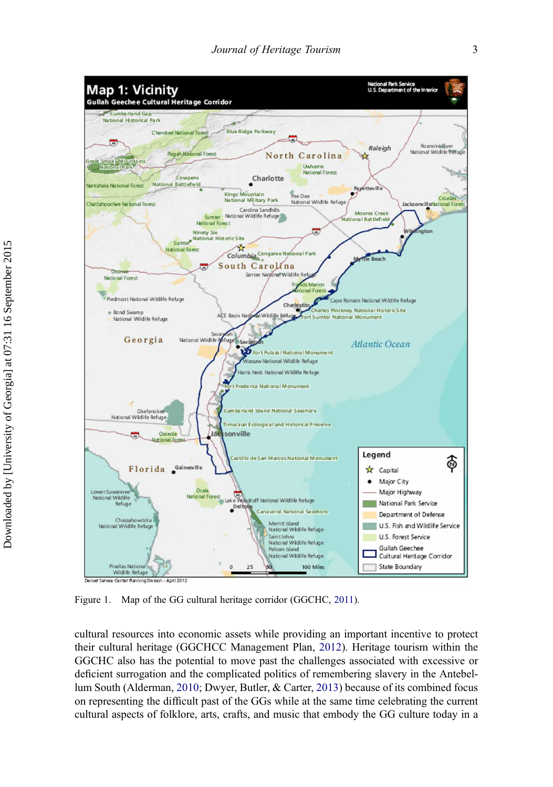<span id="page-3-0"></span>

Figure 1. Map of the GG cultural heritage corridor (GGCHC, [2011\)](#page-21-0).

cultural resources into economic assets while providing an important incentive to protect their cultural heritage (GGCHCC Management Plan, [2012\)](#page-21-0). Heritage tourism within the GGCHC also has the potential to move past the challenges associated with excessive or deficient surrogation and the complicated politics of remembering slavery in the Antebellum South (Alderman, [2010;](#page-20-0) Dwyer, Butler, & Carter, [2013](#page-21-0)) because of its combined focus on representing the difficult past of the GGs while at the same time celebrating the current cultural aspects of folklore, arts, crafts, and music that embody the GG culture today in a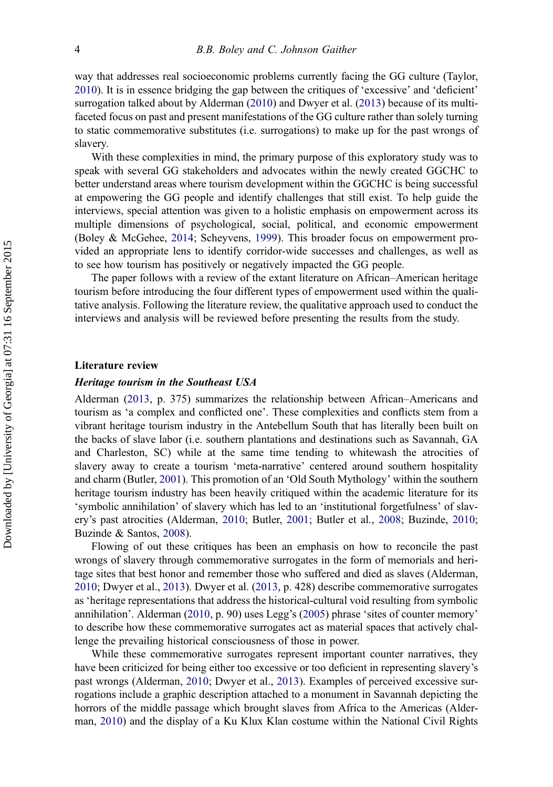way that addresses real socioeconomic problems currently facing the GG culture (Taylor, [2010\)](#page-22-0). It is in essence bridging the gap between the critiques of 'excessive' and 'deficient' surrogation talked about by Alderman [\(2010](#page-20-0)) and Dwyer et al. [\(2013](#page-21-0)) because of its multifaceted focus on past and present manifestations of the GG culture rather than solely turning to static commemorative substitutes (i.e. surrogations) to make up for the past wrongs of slavery.

With these complexities in mind, the primary purpose of this exploratory study was to speak with several GG stakeholders and advocates within the newly created GGCHC to better understand areas where tourism development within the GGCHC is being successful at empowering the GG people and identify challenges that still exist. To help guide the interviews, special attention was given to a holistic emphasis on empowerment across its multiple dimensions of psychological, social, political, and economic empowerment (Boley & McGehee, [2014;](#page-20-0) Scheyvens, [1999\)](#page-22-0). This broader focus on empowerment provided an appropriate lens to identify corridor-wide successes and challenges, as well as to see how tourism has positively or negatively impacted the GG people.

The paper follows with a review of the extant literature on African–American heritage tourism before introducing the four different types of empowerment used within the qualitative analysis. Following the literature review, the qualitative approach used to conduct the interviews and analysis will be reviewed before presenting the results from the study.

# Literature review

Alderman ([2013,](#page-20-0) p. 375) summarizes the relationship between African–Americans and tourism as 'a complex and conflicted one'. These complexities and conflicts stem from a vibrant heritage tourism industry in the Antebellum South that has literally been built on the backs of slave labor (i.e. southern plantations and destinations such as Savannah, GA and Charleston, SC) while at the same time tending to whitewash the atrocities of slavery away to create a tourism 'meta-narrative' centered around southern hospitality and charm (Butler, [2001](#page-20-0)). This promotion of an 'Old South Mythology' within the southern heritage tourism industry has been heavily critiqued within the academic literature for its 'symbolic annihilation' of slavery which has led to an 'institutional forgetfulness' of slavery's past atrocities (Alderman, [2010;](#page-20-0) Butler, [2001;](#page-20-0) Butler et al., [2008;](#page-20-0) Buzinde, [2010;](#page-20-0) Buzinde & Santos, [2008](#page-20-0)).

Flowing of out these critiques has been an emphasis on how to reconcile the past wrongs of slavery through commemorative surrogates in the form of memorials and heritage sites that best honor and remember those who suffered and died as slaves (Alderman, [2010;](#page-20-0) Dwyer et al., [2013](#page-21-0)). Dwyer et al. [\(2013](#page-21-0), p. 428) describe commemorative surrogates as 'heritage representations that address the historical-cultural void resulting from symbolic annihilation'. Alderman [\(2010](#page-20-0), p. 90) uses Legg's [\(2005](#page-21-0)) phrase 'sites of counter memory' to describe how these commemorative surrogates act as material spaces that actively challenge the prevailing historical consciousness of those in power.

While these commemorative surrogates represent important counter narratives, they have been criticized for being either too excessive or too deficient in representing slavery's past wrongs (Alderman, [2010](#page-20-0); Dwyer et al., [2013](#page-21-0)). Examples of perceived excessive surrogations include a graphic description attached to a monument in Savannah depicting the horrors of the middle passage which brought slaves from Africa to the Americas (Alderman, [2010](#page-20-0)) and the display of a Ku Klux Klan costume within the National Civil Rights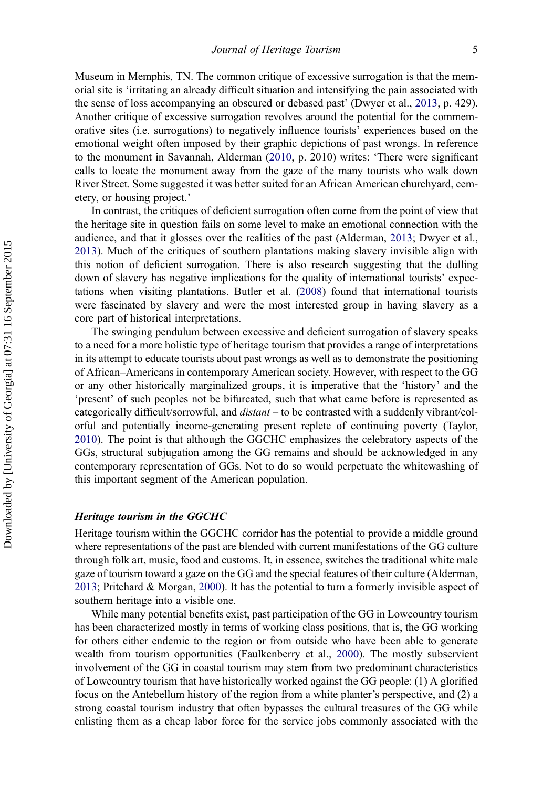Museum in Memphis, TN. The common critique of excessive surrogation is that the memorial site is 'irritating an already difficult situation and intensifying the pain associated with the sense of loss accompanying an obscured or debased past' (Dwyer et al., [2013,](#page-21-0) p. 429). Another critique of excessive surrogation revolves around the potential for the commemorative sites (i.e. surrogations) to negatively influence tourists' experiences based on the emotional weight often imposed by their graphic depictions of past wrongs. In reference to the monument in Savannah, Alderman [\(2010](#page-20-0), p. 2010) writes: 'There were significant calls to locate the monument away from the gaze of the many tourists who walk down River Street. Some suggested it was better suited for an African American churchyard, cemetery, or housing project.'

In contrast, the critiques of deficient surrogation often come from the point of view that the heritage site in question fails on some level to make an emotional connection with the audience, and that it glosses over the realities of the past (Alderman, [2013](#page-20-0); Dwyer et al., [2013\)](#page-21-0). Much of the critiques of southern plantations making slavery invisible align with this notion of deficient surrogation. There is also research suggesting that the dulling down of slavery has negative implications for the quality of international tourists' expectations when visiting plantations. Butler et al. ([2008\)](#page-20-0) found that international tourists were fascinated by slavery and were the most interested group in having slavery as a core part of historical interpretations.

The swinging pendulum between excessive and deficient surrogation of slavery speaks to a need for a more holistic type of heritage tourism that provides a range of interpretations in its attempt to educate tourists about past wrongs as well as to demonstrate the positioning of African–Americans in contemporary American society. However, with respect to the GG or any other historically marginalized groups, it is imperative that the 'history' and the 'present' of such peoples not be bifurcated, such that what came before is represented as categorically difficult/sorrowful, and  $distant -$  to be contrasted with a suddenly vibrant/colorful and potentially income-generating present replete of continuing poverty (Taylor, [2010\)](#page-22-0). The point is that although the GGCHC emphasizes the celebratory aspects of the GGs, structural subjugation among the GG remains and should be acknowledged in any contemporary representation of GGs. Not to do so would perpetuate the whitewashing of this important segment of the American population.

Heritage tourism within the GGCHC corridor has the potential to provide a middle ground where representations of the past are blended with current manifestations of the GG culture through folk art, music, food and customs. It, in essence, switches the traditional white male gaze of tourism toward a gaze on the GG and the special features of their culture (Alderman, [2013;](#page-20-0) Pritchard & Morgan, [2000](#page-21-0)). It has the potential to turn a formerly invisible aspect of southern heritage into a visible one.

While many potential benefits exist, past participation of the GG in Lowcountry tourism has been characterized mostly in terms of working class positions, that is, the GG working for others either endemic to the region or from outside who have been able to generate wealth from tourism opportunities (Faulkenberry et al., [2000](#page-21-0)). The mostly subservient involvement of the GG in coastal tourism may stem from two predominant characteristics of Lowcountry tourism that have historically worked against the GG people: (1) A glorified focus on the Antebellum history of the region from a white planter's perspective, and (2) a strong coastal tourism industry that often bypasses the cultural treasures of the GG while enlisting them as a cheap labor force for the service jobs commonly associated with the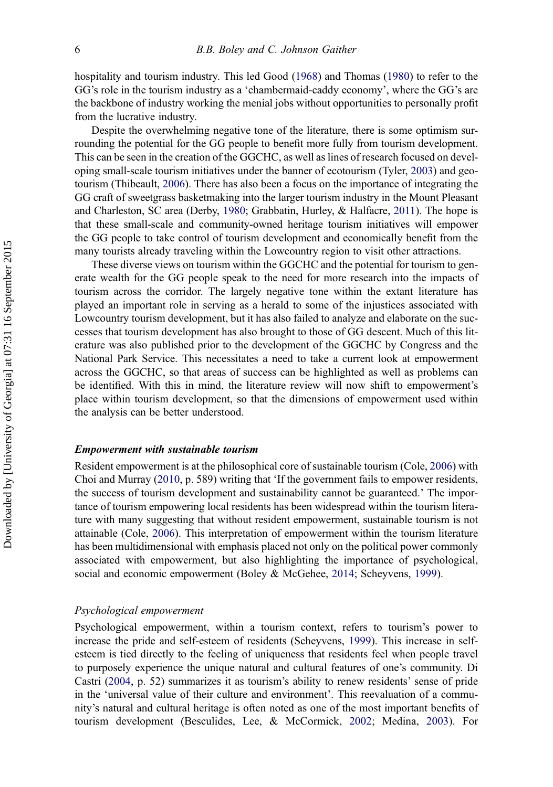hospitality and tourism industry. This led Good ([1968\)](#page-21-0) and Thomas [\(1980](#page-22-0)) to refer to the GG's role in the tourism industry as a 'chambermaid-caddy economy', where the GG's are the backbone of industry working the menial jobs without opportunities to personally profit from the lucrative industry.

Despite the overwhelming negative tone of the literature, there is some optimism surrounding the potential for the GG people to benefit more fully from tourism development. This can be seen in the creation of the GGCHC, as well as lines of research focused on developing small-scale tourism initiatives under the banner of ecotourism (Tyler, [2003](#page-22-0)) and geotourism (Thibeault, [2006](#page-22-0)). There has also been a focus on the importance of integrating the GG craft of sweetgrass basketmaking into the larger tourism industry in the Mount Pleasant and Charleston, SC area (Derby, [1980;](#page-21-0) Grabbatin, Hurley, & Halfacre, [2011\)](#page-21-0). The hope is that these small-scale and community-owned heritage tourism initiatives will empower the GG people to take control of tourism development and economically benefit from the many tourists already traveling within the Lowcountry region to visit other attractions.

These diverse views on tourism within the GGCHC and the potential for tourism to generate wealth for the GG people speak to the need for more research into the impacts of tourism across the corridor. The largely negative tone within the extant literature has played an important role in serving as a herald to some of the injustices associated with Lowcountry tourism development, but it has also failed to analyze and elaborate on the successes that tourism development has also brought to those of GG descent. Much of this literature was also published prior to the development of the GGCHC by Congress and the National Park Service. This necessitates a need to take a current look at empowerment across the GGCHC, so that areas of success can be highlighted as well as problems can be identified. With this in mind, the literature review will now shift to empowerment's place within tourism development, so that the dimensions of empowerment used within the analysis can be better understood.

Resident empowerment is at the philosophical core of sustainable tourism (Cole, [2006\)](#page-21-0) with Choi and Murray [\(2010](#page-20-0), p. 589) writing that 'If the government fails to empower residents, the success of tourism development and sustainability cannot be guaranteed.' The importance of tourism empowering local residents has been widespread within the tourism literature with many suggesting that without resident empowerment, sustainable tourism is not attainable (Cole, [2006](#page-21-0)). This interpretation of empowerment within the tourism literature has been multidimensional with emphasis placed not only on the political power commonly associated with empowerment, but also highlighting the importance of psychological, social and economic empowerment (Boley & McGehee, [2014](#page-20-0); Scheyvens, [1999\)](#page-22-0).

### Psychological empowerment

Psychological empowerment, within a tourism context, refers to tourism's power to increase the pride and self-esteem of residents (Scheyvens, [1999](#page-22-0)). This increase in selfesteem is tied directly to the feeling of uniqueness that residents feel when people travel to purposely experience the unique natural and cultural features of one's community. Di Castri ([2004,](#page-21-0) p. 52) summarizes it as tourism's ability to renew residents' sense of pride in the 'universal value of their culture and environment'. This reevaluation of a community's natural and cultural heritage is often noted as one of the most important benefits of tourism development (Besculides, Lee, & McCormick, [2002;](#page-20-0) Medina, [2003\)](#page-21-0). For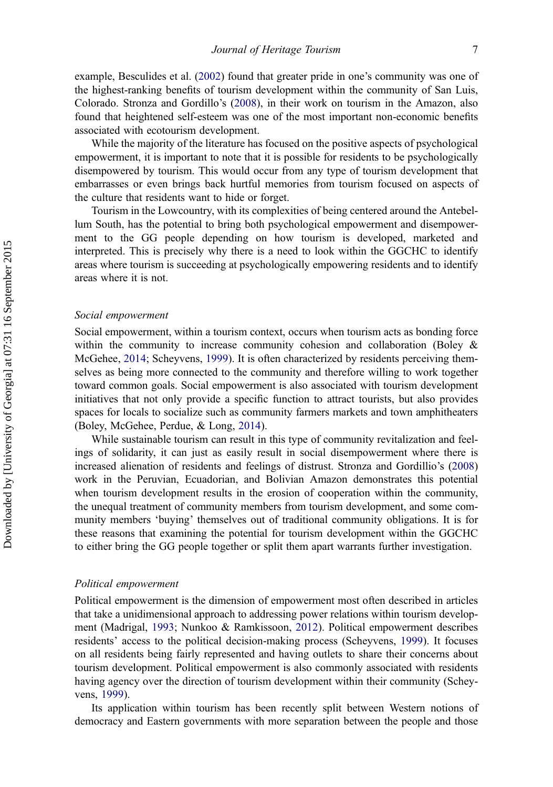example, Besculides et al. [\(2002](#page-20-0)) found that greater pride in one's community was one of the highest-ranking benefits of tourism development within the community of San Luis, Colorado. Stronza and Gordillo's [\(2008](#page-22-0)), in their work on tourism in the Amazon, also found that heightened self-esteem was one of the most important non-economic benefits associated with ecotourism development.

While the majority of the literature has focused on the positive aspects of psychological empowerment, it is important to note that it is possible for residents to be psychologically disempowered by tourism. This would occur from any type of tourism development that embarrasses or even brings back hurtful memories from tourism focused on aspects of the culture that residents want to hide or forget.

Tourism in the Lowcountry, with its complexities of being centered around the Antebellum South, has the potential to bring both psychological empowerment and disempowerment to the GG people depending on how tourism is developed, marketed and interpreted. This is precisely why there is a need to look within the GGCHC to identify areas where tourism is succeeding at psychologically empowering residents and to identify areas where it is not.

### Social empowerment

Social empowerment, within a tourism context, occurs when tourism acts as bonding force within the community to increase community cohesion and collaboration (Boley & McGehee, [2014](#page-20-0); Scheyvens, [1999\)](#page-22-0). It is often characterized by residents perceiving themselves as being more connected to the community and therefore willing to work together toward common goals. Social empowerment is also associated with tourism development initiatives that not only provide a specific function to attract tourists, but also provides spaces for locals to socialize such as community farmers markets and town amphitheaters (Boley, McGehee, Perdue, & Long, [2014\)](#page-20-0).

While sustainable tourism can result in this type of community revitalization and feelings of solidarity, it can just as easily result in social disempowerment where there is increased alienation of residents and feelings of distrust. Stronza and Gordillio's [\(2008](#page-22-0)) work in the Peruvian, Ecuadorian, and Bolivian Amazon demonstrates this potential when tourism development results in the erosion of cooperation within the community, the unequal treatment of community members from tourism development, and some community members 'buying' themselves out of traditional community obligations. It is for these reasons that examining the potential for tourism development within the GGCHC to either bring the GG people together or split them apart warrants further investigation.

### Political empowerment

Political empowerment is the dimension of empowerment most often described in articles that take a unidimensional approach to addressing power relations within tourism development (Madrigal, [1993;](#page-21-0) Nunkoo & Ramkissoon, [2012\)](#page-21-0). Political empowerment describes residents' access to the political decision-making process (Scheyvens, [1999](#page-22-0)). It focuses on all residents being fairly represented and having outlets to share their concerns about tourism development. Political empowerment is also commonly associated with residents having agency over the direction of tourism development within their community (Scheyvens, [1999](#page-22-0)).

Its application within tourism has been recently split between Western notions of democracy and Eastern governments with more separation between the people and those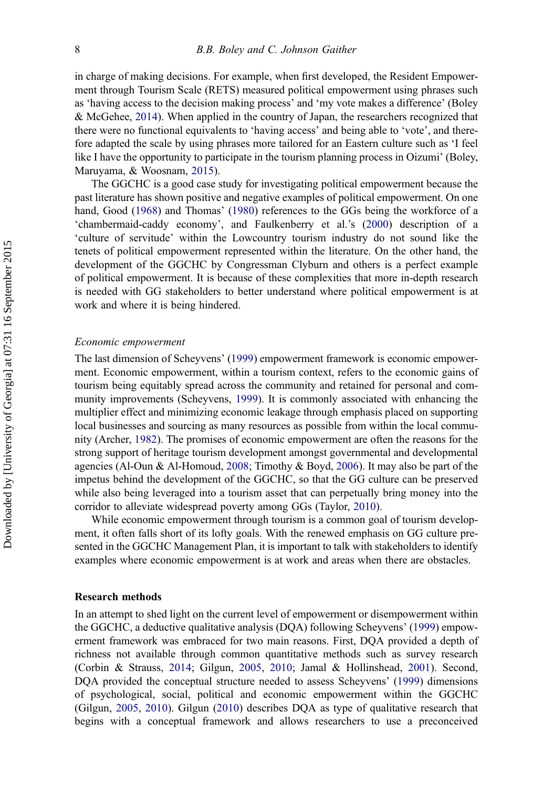in charge of making decisions. For example, when first developed, the Resident Empowerment through Tourism Scale (RETS) measured political empowerment using phrases such as 'having access to the decision making process' and 'my vote makes a difference' (Boley & McGehee, [2014\)](#page-20-0). When applied in the country of Japan, the researchers recognized that there were no functional equivalents to 'having access' and being able to 'vote', and therefore adapted the scale by using phrases more tailored for an Eastern culture such as 'I feel like I have the opportunity to participate in the tourism planning process in Oizumi' (Boley, Maruyama, & Woosnam, [2015\)](#page-20-0).

The GGCHC is a good case study for investigating political empowerment because the past literature has shown positive and negative examples of political empowerment. On one hand, Good ([1968\)](#page-21-0) and Thomas' ([1980\)](#page-22-0) references to the GGs being the workforce of a 'chambermaid-caddy economy', and Faulkenberry et al.'s ([2000\)](#page-21-0) description of a 'culture of servitude' within the Lowcountry tourism industry do not sound like the tenets of political empowerment represented within the literature. On the other hand, the development of the GGCHC by Congressman Clyburn and others is a perfect example of political empowerment. It is because of these complexities that more in-depth research is needed with GG stakeholders to better understand where political empowerment is at work and where it is being hindered.

### Economic empowerment

The last dimension of Scheyvens' [\(1999](#page-22-0)) empowerment framework is economic empowerment. Economic empowerment, within a tourism context, refers to the economic gains of tourism being equitably spread across the community and retained for personal and community improvements (Scheyvens, [1999](#page-22-0)). It is commonly associated with enhancing the multiplier effect and minimizing economic leakage through emphasis placed on supporting local businesses and sourcing as many resources as possible from within the local community (Archer, [1982](#page-20-0)). The promises of economic empowerment are often the reasons for the strong support of heritage tourism development amongst governmental and developmental agencies (Al-Oun & Al-Homoud, [2008](#page-20-0); Timothy & Boyd, [2006](#page-22-0)). It may also be part of the impetus behind the development of the GGCHC, so that the GG culture can be preserved while also being leveraged into a tourism asset that can perpetually bring money into the corridor to alleviate widespread poverty among GGs (Taylor, [2010\)](#page-22-0).

While economic empowerment through tourism is a common goal of tourism development, it often falls short of its lofty goals. With the renewed emphasis on GG culture presented in the GGCHC Management Plan, it is important to talk with stakeholders to identify examples where economic empowerment is at work and areas when there are obstacles.

### Research methods

In an attempt to shed light on the current level of empowerment or disempowerment within the GGCHC, a deductive qualitative analysis (DQA) following Scheyvens' ([1999\)](#page-22-0) empowerment framework was embraced for two main reasons. First, DQA provided a depth of richness not available through common quantitative methods such as survey research (Corbin & Strauss, [2014;](#page-21-0) Gilgun, [2005](#page-21-0), [2010;](#page-21-0) Jamal & Hollinshead, [2001](#page-21-0)). Second, DQA provided the conceptual structure needed to assess Scheyvens' ([1999\)](#page-22-0) dimensions of psychological, social, political and economic empowerment within the GGCHC (Gilgun, [2005,](#page-21-0) [2010\)](#page-21-0). Gilgun [\(2010](#page-21-0)) describes DQA as type of qualitative research that begins with a conceptual framework and allows researchers to use a preconceived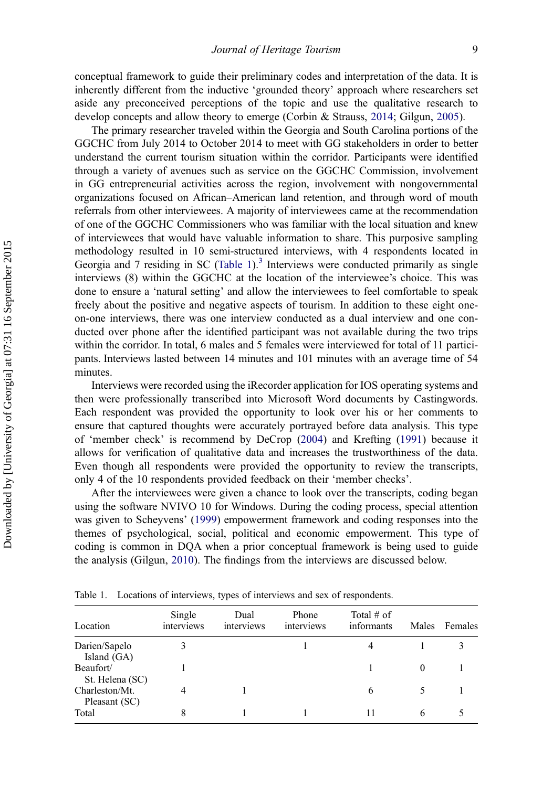conceptual framework to guide their preliminary codes and interpretation of the data. It is inherently different from the inductive 'grounded theory' approach where researchers set aside any preconceived perceptions of the topic and use the qualitative research to develop concepts and allow theory to emerge (Corbin & Strauss, [2014;](#page-21-0) Gilgun, [2005\)](#page-21-0).

The primary researcher traveled within the Georgia and South Carolina portions of the GGCHC from July 2014 to October 2014 to meet with GG stakeholders in order to better understand the current tourism situation within the corridor. Participants were identified through a variety of avenues such as service on the GGCHC Commission, involvement in GG entrepreneurial activities across the region, involvement with nongovernmental organizations focused on African–American land retention, and through word of mouth referrals from other interviewees. A majority of interviewees came at the recommendation of one of the GGCHC Commissioners who was familiar with the local situation and knew of interviewees that would have valuable information to share. This purposive sampling methodology resulted in 10 semi-structured interviews, with 4 respondents located in Georgia and 7 residing in SC (Table 1). $<sup>3</sup>$  $<sup>3</sup>$  $<sup>3</sup>$  Interviews were conducted primarily as single</sup> interviews (8) within the GGCHC at the location of the interviewee's choice. This was done to ensure a 'natural setting' and allow the interviewees to feel comfortable to speak freely about the positive and negative aspects of tourism. In addition to these eight oneon-one interviews, there was one interview conducted as a dual interview and one conducted over phone after the identified participant was not available during the two trips within the corridor. In total, 6 males and 5 females were interviewed for total of 11 participants. Interviews lasted between 14 minutes and 101 minutes with an average time of 54 minutes.

Interviews were recorded using the iRecorder application for IOS operating systems and then were professionally transcribed into Microsoft Word documents by Castingwords. Each respondent was provided the opportunity to look over his or her comments to ensure that captured thoughts were accurately portrayed before data analysis. This type of 'member check' is recommend by DeCrop [\(2004](#page-21-0)) and Krefting ([1991](#page-21-0)) because it allows for verification of qualitative data and increases the trustworthiness of the data. Even though all respondents were provided the opportunity to review the transcripts, only 4 of the 10 respondents provided feedback on their 'member checks'.

After the interviewees were given a chance to look over the transcripts, coding began using the software NVIVO 10 for Windows. During the coding process, special attention was given to Scheyvens' ([1999\)](#page-22-0) empowerment framework and coding responses into the themes of psychological, social, political and economic empowerment. This type of coding is common in DQA when a prior conceptual framework is being used to guide the analysis (Gilgun, [2010](#page-21-0)). The findings from the interviews are discussed below.

| Location                        | Single<br>interviews | Dual<br>interviews | Phone<br>interviews | Total $#$ of<br>informants | Males    | Females |
|---------------------------------|----------------------|--------------------|---------------------|----------------------------|----------|---------|
| Darien/Sapelo<br>Island (GA)    |                      |                    |                     | 4                          |          |         |
| Beaufort/<br>St. Helena (SC)    |                      |                    |                     |                            | $\Omega$ |         |
| Charleston/Mt.<br>Pleasant (SC) | 4                    |                    |                     | 6                          |          |         |
| Total                           | 8                    |                    |                     |                            | O        |         |

Table 1. Locations of interviews, types of interviews and sex of respondents.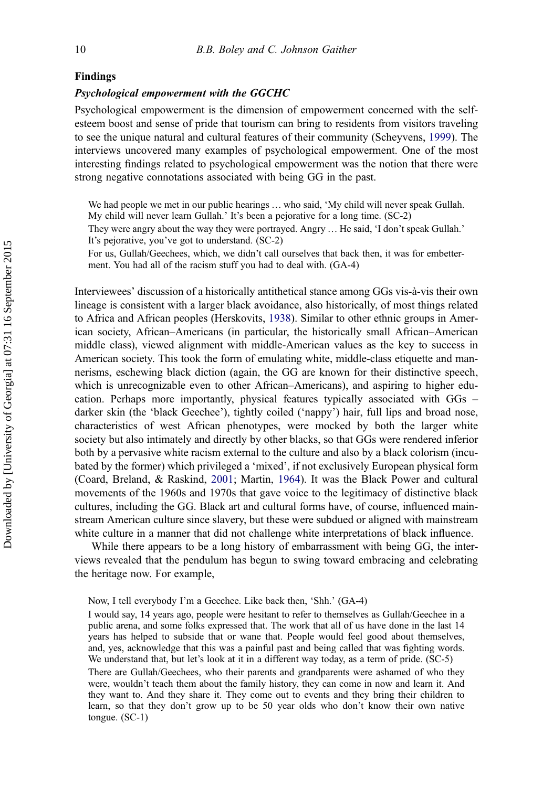# Findings

Psychological empowerment is the dimension of empowerment concerned with the selfesteem boost and sense of pride that tourism can bring to residents from visitors traveling to see the unique natural and cultural features of their community (Scheyvens, [1999\)](#page-22-0). The interviews uncovered many examples of psychological empowerment. One of the most interesting findings related to psychological empowerment was the notion that there were strong negative connotations associated with being GG in the past.

We had people we met in our public hearings … who said, 'My child will never speak Gullah. My child will never learn Gullah.' It's been a pejorative for a long time. (SC-2)

They were angry about the way they were portrayed. Angry … He said, 'I don't speak Gullah.' It's pejorative, you've got to understand. (SC-2)

For us, Gullah/Geechees, which, we didn't call ourselves that back then, it was for embetterment. You had all of the racism stuff you had to deal with. (GA-4)

Interviewees' discussion of a historically antithetical stance among GGs vis-à-vis their own lineage is consistent with a larger black avoidance, also historically, of most things related to Africa and African peoples (Herskovits, [1938\)](#page-21-0). Similar to other ethnic groups in American society, African–Americans (in particular, the historically small African–American middle class), viewed alignment with middle-American values as the key to success in American society. This took the form of emulating white, middle-class etiquette and mannerisms, eschewing black diction (again, the GG are known for their distinctive speech, which is unrecognizable even to other African–Americans), and aspiring to higher education. Perhaps more importantly, physical features typically associated with GGs – darker skin (the 'black Geechee'), tightly coiled ('nappy') hair, full lips and broad nose, characteristics of west African phenotypes, were mocked by both the larger white society but also intimately and directly by other blacks, so that GGs were rendered inferior both by a pervasive white racism external to the culture and also by a black colorism (incubated by the former) which privileged a 'mixed', if not exclusively European physical form (Coard, Breland, & Raskind, [2001](#page-20-0); Martin, [1964](#page-21-0)). It was the Black Power and cultural movements of the 1960s and 1970s that gave voice to the legitimacy of distinctive black cultures, including the GG. Black art and cultural forms have, of course, influenced mainstream American culture since slavery, but these were subdued or aligned with mainstream white culture in a manner that did not challenge white interpretations of black influence.

While there appears to be a long history of embarrassment with being GG, the interviews revealed that the pendulum has begun to swing toward embracing and celebrating the heritage now. For example,

Now, I tell everybody I'm a Geechee. Like back then, 'Shh.' (GA-4)

I would say, 14 years ago, people were hesitant to refer to themselves as Gullah/Geechee in a public arena, and some folks expressed that. The work that all of us have done in the last 14 years has helped to subside that or wane that. People would feel good about themselves, and, yes, acknowledge that this was a painful past and being called that was fighting words. We understand that, but let's look at it in a different way today, as a term of pride. (SC-5)

There are Gullah/Geechees, who their parents and grandparents were ashamed of who they were, wouldn't teach them about the family history, they can come in now and learn it. And they want to. And they share it. They come out to events and they bring their children to learn, so that they don't grow up to be 50 year olds who don't know their own native tongue. (SC-1)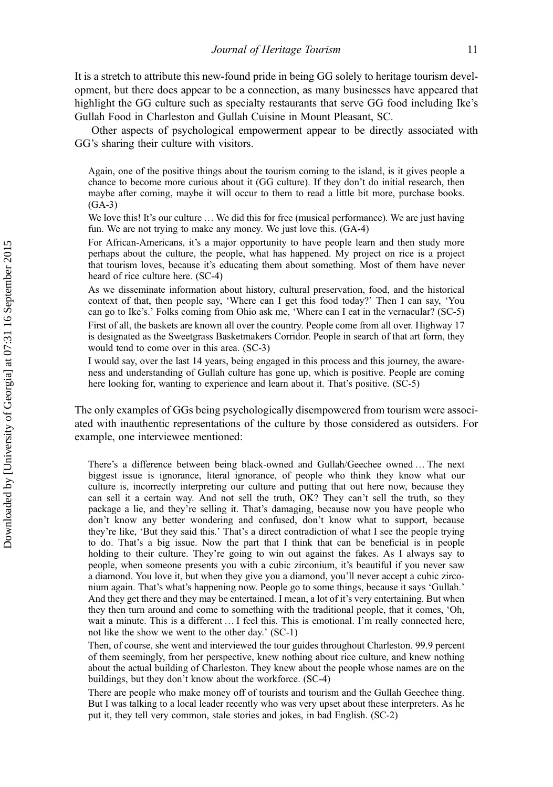It is a stretch to attribute this new-found pride in being GG solely to heritage tourism development, but there does appear to be a connection, as many businesses have appeared that highlight the GG culture such as specialty restaurants that serve GG food including Ike's Gullah Food in Charleston and Gullah Cuisine in Mount Pleasant, SC.

Other aspects of psychological empowerment appear to be directly associated with GG's sharing their culture with visitors.

Again, one of the positive things about the tourism coming to the island, is it gives people a chance to become more curious about it (GG culture). If they don't do initial research, then maybe after coming, maybe it will occur to them to read a little bit more, purchase books. (GA-3)

We love this! It's our culture ... We did this for free (musical performance). We are just having fun. We are not trying to make any money. We just love this. (GA-4)

For African-Americans, it's a major opportunity to have people learn and then study more perhaps about the culture, the people, what has happened. My project on rice is a project that tourism loves, because it's educating them about something. Most of them have never heard of rice culture here. (SC-4)

As we disseminate information about history, cultural preservation, food, and the historical context of that, then people say, 'Where can I get this food today?' Then I can say, 'You can go to Ike's.' Folks coming from Ohio ask me, 'Where can I eat in the vernacular? (SC-5) First of all, the baskets are known all over the country. People come from all over. Highway 17 is designated as the Sweetgrass Basketmakers Corridor. People in search of that art form, they would tend to come over in this area. (SC-3)

I would say, over the last 14 years, being engaged in this process and this journey, the awareness and understanding of Gullah culture has gone up, which is positive. People are coming here looking for, wanting to experience and learn about it. That's positive. (SC-5)

The only examples of GGs being psychologically disempowered from tourism were associated with inauthentic representations of the culture by those considered as outsiders. For example, one interviewee mentioned:

There's a difference between being black-owned and Gullah/Geechee owned … The next biggest issue is ignorance, literal ignorance, of people who think they know what our culture is, incorrectly interpreting our culture and putting that out here now, because they can sell it a certain way. And not sell the truth, OK? They can't sell the truth, so they package a lie, and they're selling it. That's damaging, because now you have people who don't know any better wondering and confused, don't know what to support, because they're like, 'But they said this.' That's a direct contradiction of what I see the people trying to do. That's a big issue. Now the part that I think that can be beneficial is in people holding to their culture. They're going to win out against the fakes. As I always say to people, when someone presents you with a cubic zirconium, it's beautiful if you never saw a diamond. You love it, but when they give you a diamond, you'll never accept a cubic zirconium again. That's what's happening now. People go to some things, because it says 'Gullah.' And they get there and they may be entertained. I mean, a lot of it's very entertaining. But when they then turn around and come to something with the traditional people, that it comes, 'Oh, wait a minute. This is a different ... I feel this. This is emotional. I'm really connected here, not like the show we went to the other day.' (SC-1)

Then, of course, she went and interviewed the tour guides throughout Charleston. 99.9 percent of them seemingly, from her perspective, knew nothing about rice culture, and knew nothing about the actual building of Charleston. They knew about the people whose names are on the buildings, but they don't know about the workforce. (SC-4)

There are people who make money off of tourists and tourism and the Gullah Geechee thing. But I was talking to a local leader recently who was very upset about these interpreters. As he put it, they tell very common, stale stories and jokes, in bad English. (SC-2)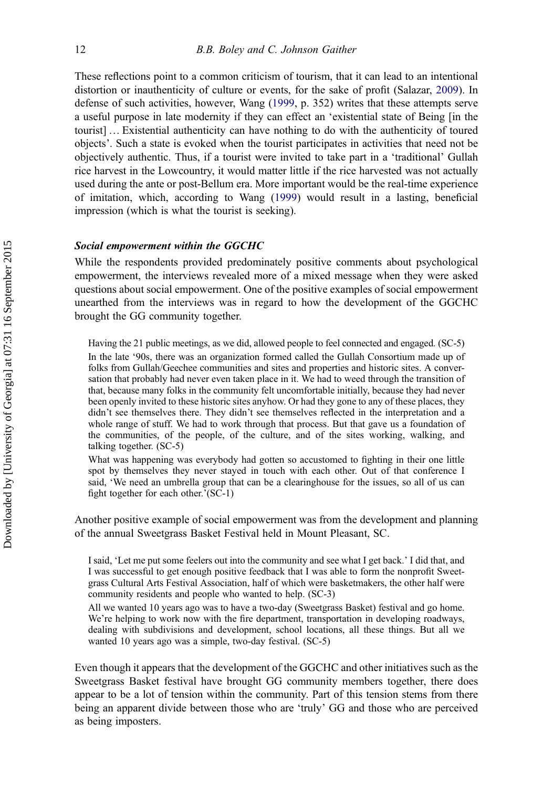These reflections point to a common criticism of tourism, that it can lead to an intentional distortion or inauthenticity of culture or events, for the sake of profit (Salazar, [2009](#page-22-0)). In defense of such activities, however, Wang ([1999,](#page-22-0) p. 352) writes that these attempts serve a useful purpose in late modernity if they can effect an 'existential state of Being [in the tourist] … Existential authenticity can have nothing to do with the authenticity of toured objects'. Such a state is evoked when the tourist participates in activities that need not be objectively authentic. Thus, if a tourist were invited to take part in a 'traditional' Gullah rice harvest in the Lowcountry, it would matter little if the rice harvested was not actually used during the ante or post-Bellum era. More important would be the real-time experience of imitation, which, according to Wang [\(1999](#page-22-0)) would result in a lasting, beneficial impression (which is what the tourist is seeking).

Social empowerment within the GGCHC empowerment, the interviews revealed more of a mixed message when they were asked questions about social empowerment. One of the positive examples of social empowerment unearthed from the interviews was in regard to how the development of the GGCHC brought the GG community together.

Having the 21 public meetings, as we did, allowed people to feel connected and engaged. (SC-5) In the late '90s, there was an organization formed called the Gullah Consortium made up of folks from Gullah/Geechee communities and sites and properties and historic sites. A conversation that probably had never even taken place in it. We had to weed through the transition of that, because many folks in the community felt uncomfortable initially, because they had never been openly invited to these historic sites anyhow. Or had they gone to any of these places, they didn't see themselves there. They didn't see themselves reflected in the interpretation and a whole range of stuff. We had to work through that process. But that gave us a foundation of the communities, of the people, of the culture, and of the sites working, walking, and talking together. (SC-5)

What was happening was everybody had gotten so accustomed to fighting in their one little spot by themselves they never stayed in touch with each other. Out of that conference I said, 'We need an umbrella group that can be a clearinghouse for the issues, so all of us can fight together for each other.'(SC-1)

Another positive example of social empowerment was from the development and planning of the annual Sweetgrass Basket Festival held in Mount Pleasant, SC.

I said, 'Let me put some feelers out into the community and see what I get back.' I did that, and I was successful to get enough positive feedback that I was able to form the nonprofit Sweetgrass Cultural Arts Festival Association, half of which were basketmakers, the other half were community residents and people who wanted to help. (SC-3)

All we wanted 10 years ago was to have a two-day (Sweetgrass Basket) festival and go home. We're helping to work now with the fire department, transportation in developing roadways, dealing with subdivisions and development, school locations, all these things. But all we wanted 10 years ago was a simple, two-day festival. (SC-5)

Even though it appears that the development of the GGCHC and other initiatives such as the Sweetgrass Basket festival have brought GG community members together, there does appear to be a lot of tension within the community. Part of this tension stems from there being an apparent divide between those who are 'truly' GG and those who are perceived as being imposters.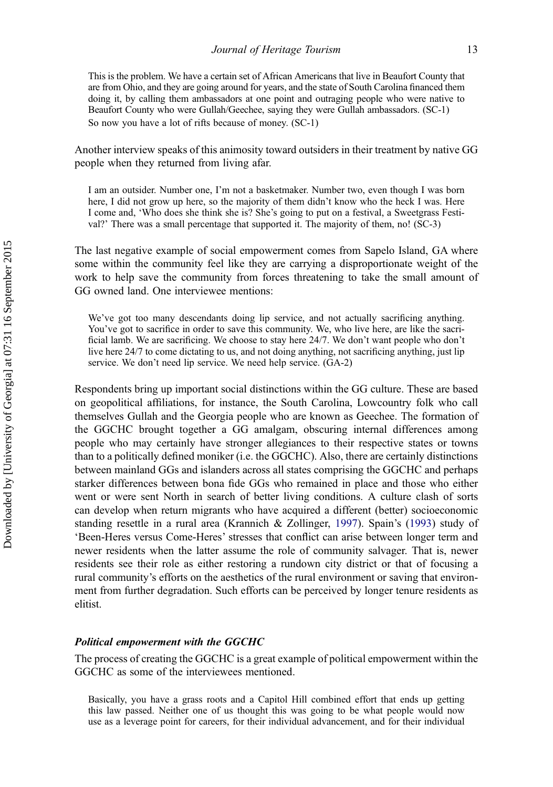This is the problem. We have a certain set of African Americans that live in Beaufort County that are from Ohio, and they are going around for years, and the state of South Carolina financed them doing it, by calling them ambassadors at one point and outraging people who were native to Beaufort County who were Gullah/Geechee, saying they were Gullah ambassadors. (SC-1) So now you have a lot of rifts because of money. (SC-1)

Another interview speaks of this animosity toward outsiders in their treatment by native GG people when they returned from living afar.

I am an outsider. Number one, I'm not a basketmaker. Number two, even though I was born here, I did not grow up here, so the majority of them didn't know who the heck I was. Here I come and, 'Who does she think she is? She's going to put on a festival, a Sweetgrass Festival?' There was a small percentage that supported it. The majority of them, no! (SC-3)

The last negative example of social empowerment comes from Sapelo Island, GA where some within the community feel like they are carrying a disproportionate weight of the work to help save the community from forces threatening to take the small amount of GG owned land. One interviewee mentions:

We've got too many descendants doing lip service, and not actually sacrificing anything. You've got to sacrifice in order to save this community. We, who live here, are like the sacrificial lamb. We are sacrificing. We choose to stay here 24/7. We don't want people who don't live here 24/7 to come dictating to us, and not doing anything, not sacrificing anything, just lip service. We don't need lip service. We need help service. (GA-2)

Respondents bring up important social distinctions within the GG culture. These are based on geopolitical affiliations, for instance, the South Carolina, Lowcountry folk who call themselves Gullah and the Georgia people who are known as Geechee. The formation of the GGCHC brought together a GG amalgam, obscuring internal differences among people who may certainly have stronger allegiances to their respective states or towns than to a politically defined moniker (i.e. the GGCHC). Also, there are certainly distinctions between mainland GGs and islanders across all states comprising the GGCHC and perhaps starker differences between bona fide GGs who remained in place and those who either went or were sent North in search of better living conditions. A culture clash of sorts can develop when return migrants who have acquired a different (better) socioeconomic standing resettle in a rural area (Krannich & Zollinger, [1997](#page-21-0)). Spain's [\(1993](#page-22-0)) study of 'Been-Heres versus Come-Heres' stresses that conflict can arise between longer term and newer residents when the latter assume the role of community salvager. That is, newer residents see their role as either restoring a rundown city district or that of focusing a rural community's efforts on the aesthetics of the rural environment or saving that environment from further degradation. Such efforts can be perceived by longer tenure residents as elitist.

The process of creating the GGCHC is a great example of political empowerment within the GGCHC as some of the interviewees mentioned.

Basically, you have a grass roots and a Capitol Hill combined effort that ends up getting this law passed. Neither one of us thought this was going to be what people would now use as a leverage point for careers, for their individual advancement, and for their individual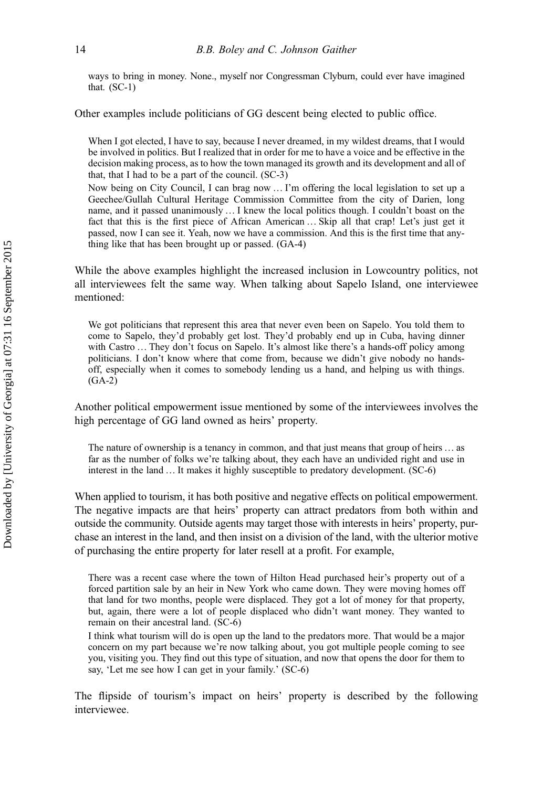ways to bring in money. None., myself nor Congressman Clyburn, could ever have imagined that. (SC-1)

Other examples include politicians of GG descent being elected to public office.

When I got elected, I have to say, because I never dreamed, in my wildest dreams, that I would be involved in politics. But I realized that in order for me to have a voice and be effective in the decision making process, as to how the town managed its growth and its development and all of that, that I had to be a part of the council. (SC-3)

Now being on City Council, I can brag now … I'm offering the local legislation to set up a Geechee/Gullah Cultural Heritage Commission Committee from the city of Darien, long name, and it passed unanimously … I knew the local politics though. I couldn't boast on the fact that this is the first piece of African American ... Skip all that crap! Let's just get it passed, now I can see it. Yeah, now we have a commission. And this is the first time that anything like that has been brought up or passed. (GA-4)

While the above examples highlight the increased inclusion in Lowcountry politics, not all interviewees felt the same way. When talking about Sapelo Island, one interviewee mentioned:

We got politicians that represent this area that never even been on Sapelo. You told them to come to Sapelo, they'd probably get lost. They'd probably end up in Cuba, having dinner with Castro ... They don't focus on Sapelo. It's almost like there's a hands-off policy among politicians. I don't know where that come from, because we didn't give nobody no handsoff, especially when it comes to somebody lending us a hand, and helping us with things. (GA-2)

Another political empowerment issue mentioned by some of the interviewees involves the high percentage of GG land owned as heirs' property.

The nature of ownership is a tenancy in common, and that just means that group of heirs … as far as the number of folks we're talking about, they each have an undivided right and use in interest in the land … It makes it highly susceptible to predatory development. (SC-6)

When applied to tourism, it has both positive and negative effects on political empowerment. The negative impacts are that heirs' property can attract predators from both within and outside the community. Outside agents may target those with interests in heirs' property, purchase an interest in the land, and then insist on a division of the land, with the ulterior motive of purchasing the entire property for later resell at a profit. For example,

There was a recent case where the town of Hilton Head purchased heir's property out of a forced partition sale by an heir in New York who came down. They were moving homes off that land for two months, people were displaced. They got a lot of money for that property, but, again, there were a lot of people displaced who didn't want money. They wanted to remain on their ancestral land. (SC-6)

I think what tourism will do is open up the land to the predators more. That would be a major concern on my part because we're now talking about, you got multiple people coming to see you, visiting you. They find out this type of situation, and now that opens the door for them to say, 'Let me see how I can get in your family.' (SC-6)

The flipside of tourism's impact on heirs' property is described by the following interviewee.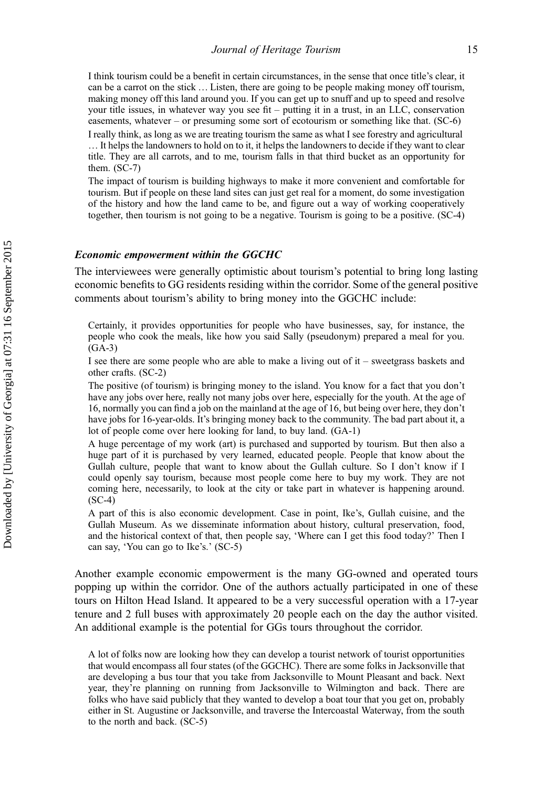I think tourism could be a benefit in certain circumstances, in the sense that once title's clear, it can be a carrot on the stick … Listen, there are going to be people making money off tourism, making money off this land around you. If you can get up to snuff and up to speed and resolve your title issues, in whatever way you see fit – putting it in a trust, in an LLC, conservation easements, whatever – or presuming some sort of ecotourism or something like that. (SC-6)

I really think, as long as we are treating tourism the same as what I see forestry and agricultural … It helps the landowners to hold on to it, it helps the landowners to decide if they want to clear title. They are all carrots, and to me, tourism falls in that third bucket as an opportunity for them. (SC-7)

The impact of tourism is building highways to make it more convenient and comfortable for tourism. But if people on these land sites can just get real for a moment, do some investigation of the history and how the land came to be, and figure out a way of working cooperatively together, then tourism is not going to be a negative. Tourism is going to be a positive. (SC-4)

The interviewees were generally optimistic about tourism's potential to bring long lasting economic benefits to GG residents residing within the corridor. Some of the general positive comments about tourism's ability to bring money into the GGCHC include:

Certainly, it provides opportunities for people who have businesses, say, for instance, the people who cook the meals, like how you said Sally (pseudonym) prepared a meal for you. (GA-3)

I see there are some people who are able to make a living out of it – sweetgrass baskets and other crafts. (SC-2)

The positive (of tourism) is bringing money to the island. You know for a fact that you don't have any jobs over here, really not many jobs over here, especially for the youth. At the age of 16, normally you can find a job on the mainland at the age of 16, but being over here, they don't have jobs for 16-year-olds. It's bringing money back to the community. The bad part about it, a lot of people come over here looking for land, to buy land. (GA-1)

A huge percentage of my work (art) is purchased and supported by tourism. But then also a huge part of it is purchased by very learned, educated people. People that know about the Gullah culture, people that want to know about the Gullah culture. So I don't know if I could openly say tourism, because most people come here to buy my work. They are not coming here, necessarily, to look at the city or take part in whatever is happening around. (SC-4)

A part of this is also economic development. Case in point, Ike's, Gullah cuisine, and the Gullah Museum. As we disseminate information about history, cultural preservation, food, and the historical context of that, then people say, 'Where can I get this food today?' Then I can say, 'You can go to Ike's.' (SC-5)

Another example economic empowerment is the many GG-owned and operated tours popping up within the corridor. One of the authors actually participated in one of these tours on Hilton Head Island. It appeared to be a very successful operation with a 17-year tenure and 2 full buses with approximately 20 people each on the day the author visited. An additional example is the potential for GGs tours throughout the corridor.

A lot of folks now are looking how they can develop a tourist network of tourist opportunities that would encompass all four states (of the GGCHC). There are some folks in Jacksonville that are developing a bus tour that you take from Jacksonville to Mount Pleasant and back. Next year, they're planning on running from Jacksonville to Wilmington and back. There are folks who have said publicly that they wanted to develop a boat tour that you get on, probably either in St. Augustine or Jacksonville, and traverse the Intercoastal Waterway, from the south to the north and back. (SC-5)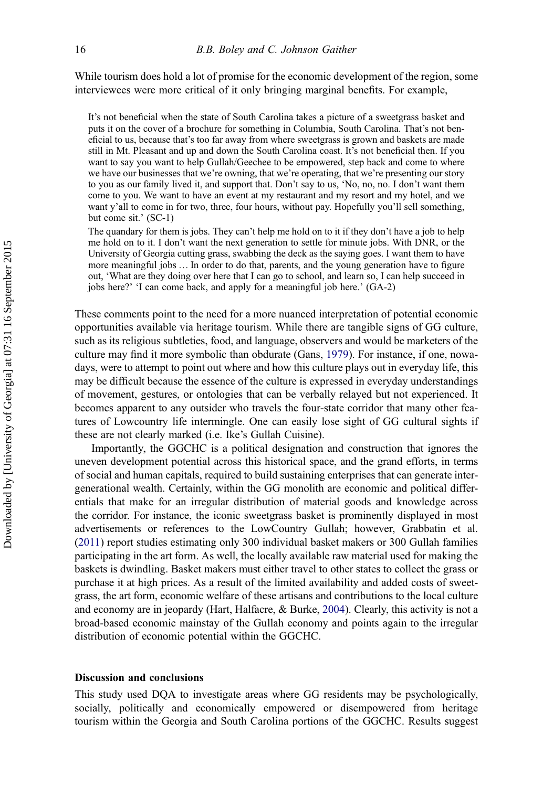While tourism does hold a lot of promise for the economic development of the region, some interviewees were more critical of it only bringing marginal benefits. For example,

It's not beneficial when the state of South Carolina takes a picture of a sweetgrass basket and puts it on the cover of a brochure for something in Columbia, South Carolina. That's not beneficial to us, because that's too far away from where sweetgrass is grown and baskets are made still in Mt. Pleasant and up and down the South Carolina coast. It's not beneficial then. If you want to say you want to help Gullah/Geechee to be empowered, step back and come to where we have our businesses that we're owning, that we're operating, that we're presenting our story to you as our family lived it, and support that. Don't say to us, 'No, no, no. I don't want them come to you. We want to have an event at my restaurant and my resort and my hotel, and we want y'all to come in for two, three, four hours, without pay. Hopefully you'll sell something, but come sit.' (SC-1)

The quandary for them is jobs. They can't help me hold on to it if they don't have a job to help me hold on to it. I don't want the next generation to settle for minute jobs. With DNR, or the University of Georgia cutting grass, swabbing the deck as the saying goes. I want them to have more meaningful jobs … In order to do that, parents, and the young generation have to figure out, 'What are they doing over here that I can go to school, and learn so, I can help succeed in jobs here?' 'I can come back, and apply for a meaningful job here.' (GA-2)

These comments point to the need for a more nuanced interpretation of potential economic opportunities available via heritage tourism. While there are tangible signs of GG culture, such as its religious subtleties, food, and language, observers and would be marketers of the culture may find it more symbolic than obdurate (Gans, [1979](#page-21-0)). For instance, if one, nowadays, were to attempt to point out where and how this culture plays out in everyday life, this may be difficult because the essence of the culture is expressed in everyday understandings of movement, gestures, or ontologies that can be verbally relayed but not experienced. It becomes apparent to any outsider who travels the four-state corridor that many other features of Lowcountry life intermingle. One can easily lose sight of GG cultural sights if these are not clearly marked (i.e. Ike's Gullah Cuisine).

Importantly, the GGCHC is a political designation and construction that ignores the uneven development potential across this historical space, and the grand efforts, in terms of social and human capitals, required to build sustaining enterprises that can generate intergenerational wealth. Certainly, within the GG monolith are economic and political differentials that make for an irregular distribution of material goods and knowledge across the corridor. For instance, the iconic sweetgrass basket is prominently displayed in most advertisements or references to the LowCountry Gullah; however, Grabbatin et al. ([2011\)](#page-21-0) report studies estimating only 300 individual basket makers or 300 Gullah families participating in the art form. As well, the locally available raw material used for making the baskets is dwindling. Basket makers must either travel to other states to collect the grass or purchase it at high prices. As a result of the limited availability and added costs of sweetgrass, the art form, economic welfare of these artisans and contributions to the local culture and economy are in jeopardy (Hart, Halfacre, & Burke, [2004\)](#page-21-0). Clearly, this activity is not a broad-based economic mainstay of the Gullah economy and points again to the irregular distribution of economic potential within the GGCHC.

# Discussion and conclusions

This study used DQA to investigate areas where GG residents may be psychologically, socially, politically and economically empowered or disempowered from heritage tourism within the Georgia and South Carolina portions of the GGCHC. Results suggest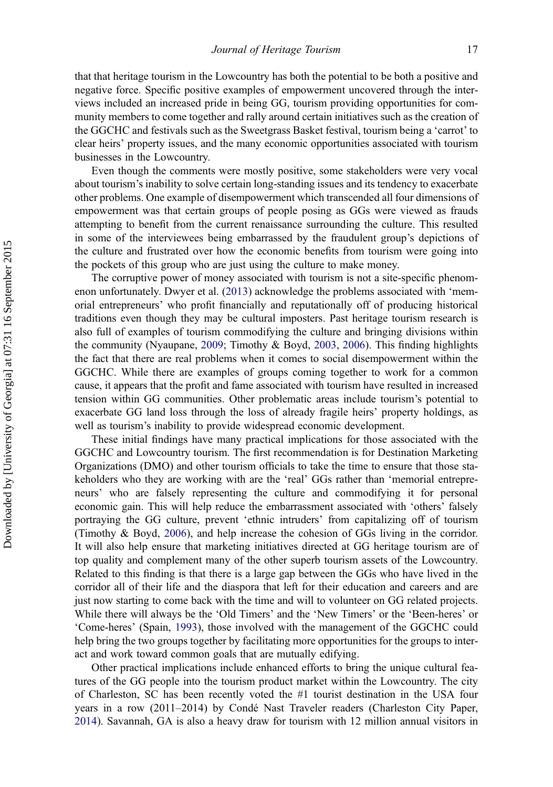that that heritage tourism in the Lowcountry has both the potential to be both a positive and negative force. Specific positive examples of empowerment uncovered through the interviews included an increased pride in being GG, tourism providing opportunities for community members to come together and rally around certain initiatives such as the creation of the GGCHC and festivals such as the Sweetgrass Basket festival, tourism being a 'carrot' to clear heirs' property issues, and the many economic opportunities associated with tourism businesses in the Lowcountry.

Even though the comments were mostly positive, some stakeholders were very vocal about tourism's inability to solve certain long-standing issues and its tendency to exacerbate other problems. One example of disempowerment which transcended all four dimensions of empowerment was that certain groups of people posing as GGs were viewed as frauds attempting to benefit from the current renaissance surrounding the culture. This resulted in some of the interviewees being embarrassed by the fraudulent group's depictions of the culture and frustrated over how the economic benefits from tourism were going into the pockets of this group who are just using the culture to make money.

The corruptive power of money associated with tourism is not a site-specific phenomenon unfortunately. Dwyer et al. [\(2013](#page-21-0)) acknowledge the problems associated with 'memorial entrepreneurs' who profit financially and reputationally off of producing historical traditions even though they may be cultural imposters. Past heritage tourism research is also full of examples of tourism commodifying the culture and bringing divisions within the community (Nyaupane, [2009](#page-21-0); Timothy & Boyd, [2003](#page-22-0), [2006\)](#page-22-0). This finding highlights the fact that there are real problems when it comes to social disempowerment within the GGCHC. While there are examples of groups coming together to work for a common cause, it appears that the profit and fame associated with tourism have resulted in increased tension within GG communities. Other problematic areas include tourism's potential to exacerbate GG land loss through the loss of already fragile heirs' property holdings, as well as tourism's inability to provide widespread economic development.

These initial findings have many practical implications for those associated with the GGCHC and Lowcountry tourism. The first recommendation is for Destination Marketing Organizations (DMO) and other tourism officials to take the time to ensure that those stakeholders who they are working with are the 'real' GGs rather than 'memorial entrepreneurs' who are falsely representing the culture and commodifying it for personal economic gain. This will help reduce the embarrassment associated with 'others' falsely portraying the GG culture, prevent 'ethnic intruders' from capitalizing off of tourism (Timothy & Boyd, [2006\)](#page-22-0), and help increase the cohesion of GGs living in the corridor. It will also help ensure that marketing initiatives directed at GG heritage tourism are of top quality and complement many of the other superb tourism assets of the Lowcountry. Related to this finding is that there is a large gap between the GGs who have lived in the corridor all of their life and the diaspora that left for their education and careers and are just now starting to come back with the time and will to volunteer on GG related projects. While there will always be the 'Old Timers' and the 'New Timers' or the 'Been-heres' or 'Come-heres' (Spain, [1993](#page-22-0)), those involved with the management of the GGCHC could help bring the two groups together by facilitating more opportunities for the groups to interact and work toward common goals that are mutually edifying.

Other practical implications include enhanced efforts to bring the unique cultural features of the GG people into the tourism product market within the Lowcountry. The city of Charleston, SC has been recently voted the #1 tourist destination in the USA four years in a row (2011–2014) by Condé Nast Traveler readers (Charleston City Paper, [2014\)](#page-20-0). Savannah, GA is also a heavy draw for tourism with 12 million annual visitors in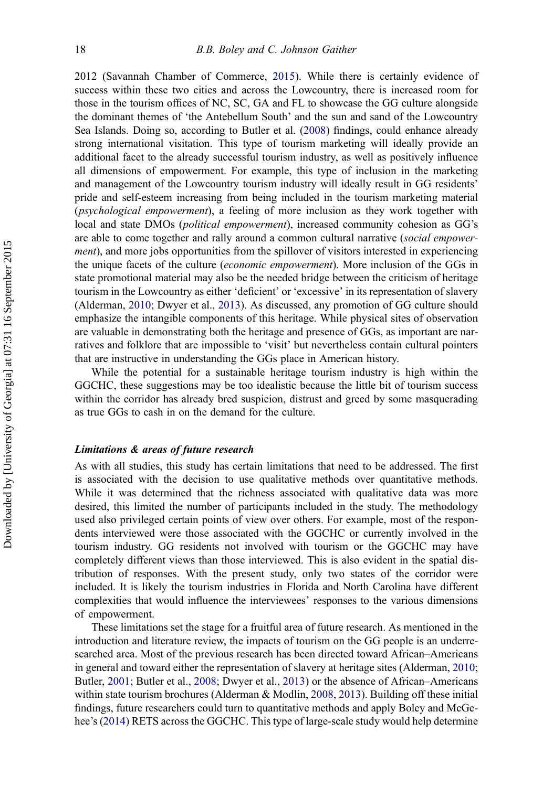2012 (Savannah Chamber of Commerce, [2015](#page-22-0)). While there is certainly evidence of success within these two cities and across the Lowcountry, there is increased room for those in the tourism offices of NC, SC, GA and FL to showcase the GG culture alongside the dominant themes of 'the Antebellum South' and the sun and sand of the Lowcountry Sea Islands. Doing so, according to Butler et al. ([2008\)](#page-20-0) findings, could enhance already strong international visitation. This type of tourism marketing will ideally provide an additional facet to the already successful tourism industry, as well as positively influence all dimensions of empowerment. For example, this type of inclusion in the marketing and management of the Lowcountry tourism industry will ideally result in GG residents' pride and self-esteem increasing from being included in the tourism marketing material (psychological empowerment), a feeling of more inclusion as they work together with local and state DMOs (political empowerment), increased community cohesion as GG's are able to come together and rally around a common cultural narrative (social empowerment), and more jobs opportunities from the spillover of visitors interested in experiencing the unique facets of the culture (economic empowerment). More inclusion of the GGs in state promotional material may also be the needed bridge between the criticism of heritage tourism in the Lowcountry as either 'deficient' or 'excessive' in its representation of slavery (Alderman, [2010;](#page-20-0) Dwyer et al., [2013\)](#page-21-0). As discussed, any promotion of GG culture should emphasize the intangible components of this heritage. While physical sites of observation are valuable in demonstrating both the heritage and presence of GGs, as important are narratives and folklore that are impossible to 'visit' but nevertheless contain cultural pointers that are instructive in understanding the GGs place in American history.

While the potential for a sustainable heritage tourism industry is high within the GGCHC, these suggestions may be too idealistic because the little bit of tourism success within the corridor has already bred suspicion, distrust and greed by some masquerading as true GGs to cash in on the demand for the culture.

As with all studies, this study has certain limitations that need to be addressed. The first is associated with the decision to use qualitative methods over quantitative methods. While it was determined that the richness associated with qualitative data was more desired, this limited the number of participants included in the study. The methodology used also privileged certain points of view over others. For example, most of the respondents interviewed were those associated with the GGCHC or currently involved in the tourism industry. GG residents not involved with tourism or the GGCHC may have completely different views than those interviewed. This is also evident in the spatial distribution of responses. With the present study, only two states of the corridor were included. It is likely the tourism industries in Florida and North Carolina have different complexities that would influence the interviewees' responses to the various dimensions of empowerment.

These limitations set the stage for a fruitful area of future research. As mentioned in the introduction and literature review, the impacts of tourism on the GG people is an underresearched area. Most of the previous research has been directed toward African–Americans in general and toward either the representation of slavery at heritage sites (Alderman, [2010;](#page-20-0) Butler, [2001](#page-20-0); Butler et al., [2008](#page-20-0); Dwyer et al., [2013](#page-21-0)) or the absence of African–Americans within state tourism brochures (Alderman & Modlin, [2008,](#page-20-0) [2013](#page-20-0)). Building off these initial findings, future researchers could turn to quantitative methods and apply Boley and McGehee's [\(2014](#page-20-0)) RETS across the GGCHC. This type of large-scale study would help determine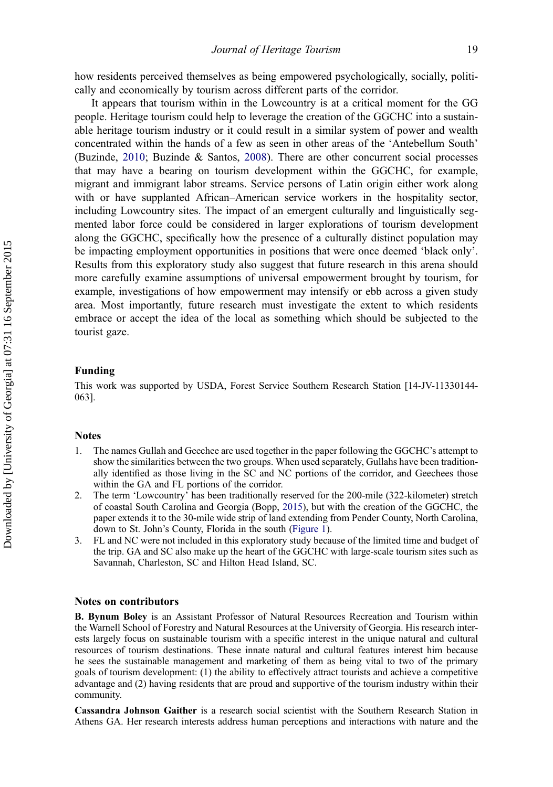<span id="page-19-0"></span>how residents perceived themselves as being empowered psychologically, socially, politically and economically by tourism across different parts of the corridor.

It appears that tourism within in the Lowcountry is at a critical moment for the GG people. Heritage tourism could help to leverage the creation of the GGCHC into a sustainable heritage tourism industry or it could result in a similar system of power and wealth concentrated within the hands of a few as seen in other areas of the 'Antebellum South' (Buzinde, [2010;](#page-20-0) Buzinde & Santos, [2008](#page-20-0)). There are other concurrent social processes that may have a bearing on tourism development within the GGCHC, for example, migrant and immigrant labor streams. Service persons of Latin origin either work along with or have supplanted African–American service workers in the hospitality sector, including Lowcountry sites. The impact of an emergent culturally and linguistically segmented labor force could be considered in larger explorations of tourism development along the GGCHC, specifically how the presence of a culturally distinct population may be impacting employment opportunities in positions that were once deemed 'black only'. Results from this exploratory study also suggest that future research in this arena should more carefully examine assumptions of universal empowerment brought by tourism, for example, investigations of how empowerment may intensify or ebb across a given study area. Most importantly, future research must investigate the extent to which residents embrace or accept the idea of the local as something which should be subjected to the tourist gaze.

# Funding

This work was supported by USDA, Forest Service Southern Research Station [14-JV-11330144- 063].

# Notes

- 1. The names Gullah and Geechee are used together in the paper following the GGCHC's attempt to show the similarities between the two groups. When used separately, Gullahs have been traditionally identified as those living in the SC and NC portions of the corridor, and Geechees those within the GA and FL portions of the corridor.
- 2. The term 'Lowcountry' has been traditionally reserved for the 200-mile (322-kilometer) stretch of coastal South Carolina and Georgia (Bopp, [2015](#page-20-0)), but with the creation of the GGCHC, the paper extends it to the 30-mile wide strip of land extending from Pender County, North Carolina, down to St. John's County, Florida in the south ([Figure 1](#page-3-0)).
- 3. FL and NC were not included in this exploratory study because of the limited time and budget of the trip. GA and SC also make up the heart of the GGCHC with large-scale tourism sites such as Savannah, Charleston, SC and Hilton Head Island, SC.

### Notes on contributors

B. Bynum Boley is an Assistant Professor of Natural Resources Recreation and Tourism within the Warnell School of Forestry and Natural Resources at the University of Georgia. His research interests largely focus on sustainable tourism with a specific interest in the unique natural and cultural resources of tourism destinations. These innate natural and cultural features interest him because he sees the sustainable management and marketing of them as being vital to two of the primary goals of tourism development: (1) the ability to effectively attract tourists and achieve a competitive advantage and (2) having residents that are proud and supportive of the tourism industry within their community.

Cassandra Johnson Gaither is a research social scientist with the Southern Research Station in Athens GA. Her research interests address human perceptions and interactions with nature and the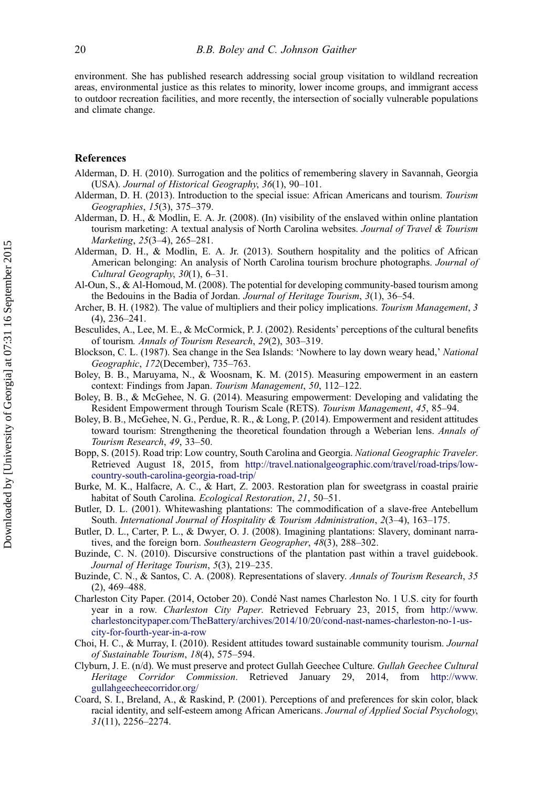<span id="page-20-0"></span>environment. She has published research addressing social group visitation to wildland recreation areas, environmental justice as this relates to minority, lower income groups, and immigrant access to outdoor recreation facilities, and more recently, the intersection of socially vulnerable populations and climate change.

# References

- Alderman, D. H. (2010). Surrogation and the politics of remembering slavery in Savannah, Georgia (USA). Journal of Historical Geography, 36(1), 90–101.
- Alderman, D. H. (2013). Introduction to the special issue: African Americans and tourism. Tourism Geographies, 15(3), 375–379.
- Alderman, D. H., & Modlin, E. A. Jr. (2008). (In) visibility of the enslaved within online plantation tourism marketing: A textual analysis of North Carolina websites. Journal of Travel & Tourism Marketing, 25(3–4), 265–281.
- Alderman, D. H., & Modlin, E. A. Jr. (2013). Southern hospitality and the politics of African American belonging: An analysis of North Carolina tourism brochure photographs. Journal of Cultural Geography, 30(1), 6–31.
- Al-Oun, S., & Al-Homoud, M. (2008). The potential for developing community-based tourism among the Bedouins in the Badia of Jordan. Journal of Heritage Tourism, 3(1), 36–54.
- Archer, B. H. (1982). The value of multipliers and their policy implications. *Tourism Management*, 3 (4), 236–241.
- Besculides, A., Lee, M. E., & McCormick, P. J. (2002). Residents' perceptions of the cultural benefits of tourism. Annals of Tourism Research, 29(2), 303–319.
- Blockson, C. L. (1987). Sea change in the Sea Islands: 'Nowhere to lay down weary head,' National Geographic, 172(December), 735–763.
- Boley, B. B., Maruyama, N., & Woosnam, K. M. (2015). Measuring empowerment in an eastern context: Findings from Japan. Tourism Management, 50, 112–122.
- Boley, B. B., & McGehee, N. G. (2014). Measuring empowerment: Developing and validating the Resident Empowerment through Tourism Scale (RETS). Tourism Management, 45, 85–94.
- Boley, B. B., McGehee, N. G., Perdue, R. R., & Long, P. (2014). Empowerment and resident attitudes toward tourism: Strengthening the theoretical foundation through a Weberian lens. Annals of Tourism Research, 49, 33–50.
- Bopp, S. (2015). Road trip: Low country, South Carolina and Georgia. National Geographic Traveler. Retrieved August 18, 2015, from [http://travel.nationalgeographic.com/travel/road-trips/low](http://travel.nationalgeographic.com/travel/road-trips/low-country-south-carolina-georgia-road-trip/)[country-south-carolina-georgia-road-trip/](http://travel.nationalgeographic.com/travel/road-trips/low-country-south-carolina-georgia-road-trip/)
- Burke, M. K., Halfacre, A. C., & Hart, Z. 2003. Restoration plan for sweetgrass in coastal prairie habitat of South Carolina. *Ecological Restoration*, 21, 50–51.
- Butler, D. L. (2001). Whitewashing plantations: The commodification of a slave-free Antebellum South. International Journal of Hospitality & Tourism Administration, 2(3–4), 163–175.
- Butler, D. L., Carter, P. L., & Dwyer, O. J. (2008). Imagining plantations: Slavery, dominant narratives, and the foreign born. Southeastern Geographer, 48(3), 288–302.
- Buzinde, C. N. (2010). Discursive constructions of the plantation past within a travel guidebook. Journal of Heritage Tourism, 5(3), 219–235.
- Buzinde, C. N., & Santos, C. A. (2008). Representations of slavery. Annals of Tourism Research, 35 (2), 469–488.
- Charleston City Paper. (2014, October 20). Condé Nast names Charleston No. 1 U.S. city for fourth year in a row. Charleston City Paper. Retrieved February 23, 2015, from [http://www.](http://www.charlestoncitypaper.com/TheBattery/archives/2014/10/20/cond-nast-names-charleston-no-1-us-city-for-fourth-year-in-a-row) [charlestoncitypaper.com/TheBattery/archives/2014/10/20/cond-nast-names-charleston-no-1-us](http://www.charlestoncitypaper.com/TheBattery/archives/2014/10/20/cond-nast-names-charleston-no-1-us-city-for-fourth-year-in-a-row)[city-for-fourth-year-in-a-row](http://www.charlestoncitypaper.com/TheBattery/archives/2014/10/20/cond-nast-names-charleston-no-1-us-city-for-fourth-year-in-a-row)
- Choi, H. C., & Murray, I. (2010). Resident attitudes toward sustainable community tourism. Journal of Sustainable Tourism, 18(4), 575–594.
- Clyburn, J. E. (n/d). We must preserve and protect Gullah Geechee Culture. Gullah Geechee Cultural Heritage Corridor Commission. Retrieved January 29, 2014, from [http://www.](http://www.gullahgeecheecorridor.org/) [gullahgeecheecorridor.org/](http://www.gullahgeecheecorridor.org/)
- Coard, S. I., Breland, A., & Raskind, P. (2001). Perceptions of and preferences for skin color, black racial identity, and self-esteem among African Americans. Journal of Applied Social Psychology, 31(11), 2256–2274.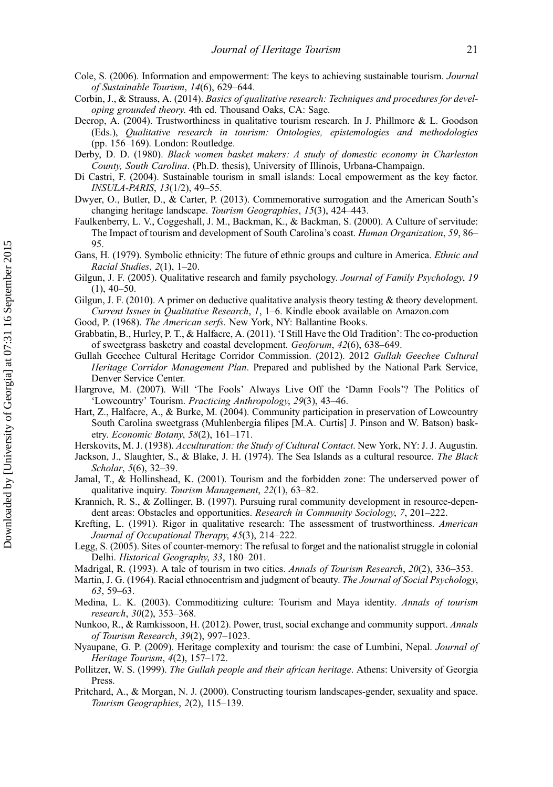- <span id="page-21-0"></span>Cole, S. (2006). Information and empowerment: The keys to achieving sustainable tourism. Journal of Sustainable Tourism, 14(6), 629–644.
- Corbin, J., & Strauss, A. (2014). Basics of qualitative research: Techniques and procedures for developing grounded theory. 4th ed. Thousand Oaks, CA: Sage.
- Decrop, A. (2004). Trustworthiness in qualitative tourism research. In J. Phillmore & L. Goodson (Eds.), Qualitative research in tourism: Ontologies, epistemologies and methodologies (pp. 156–169). London: Routledge.
- Derby, D. D. (1980). Black women basket makers: A study of domestic economy in Charleston County, South Carolina. (Ph.D. thesis), University of Illinois, Urbana-Champaign.
- Di Castri, F. (2004). Sustainable tourism in small islands: Local empowerment as the key factor. INSULA-PARIS, 13(1/2), 49–55.
- Dwyer, O., Butler, D., & Carter, P. (2013). Commemorative surrogation and the American South's changing heritage landscape. Tourism Geographies, 15(3), 424–443.
- Faulkenberry, L. V., Coggeshall, J. M., Backman, K., & Backman, S. (2000). A Culture of servitude: The Impact of tourism and development of South Carolina's coast. Human Organization, 59, 86– 95.
- Gans, H. (1979). Symbolic ethnicity: The future of ethnic groups and culture in America. *Ethnic and* Racial Studies, 2(1), 1–20.
- Gilgun, J. F. (2005). Qualitative research and family psychology. Journal of Family Psychology, 19  $(1), 40-50.$
- Gilgun, J. F. (2010). A primer on deductive qualitative analysis theory testing & theory development. Current Issues in Qualitative Research, 1, 1–6. Kindle ebook available on Amazon.com
- Good, P. (1968). The American serfs. New York, NY: Ballantine Books.
- Grabbatin, B., Hurley, P. T., & Halfacre, A. (2011). 'I Still Have the Old Tradition': The co-production of sweetgrass basketry and coastal development. Geoforum, 42(6), 638–649.
- Gullah Geechee Cultural Heritage Corridor Commission. (2012). 2012 Gullah Geechee Cultural Heritage Corridor Management Plan. Prepared and published by the National Park Service, Denver Service Center.
- Hargrove, M. (2007). Will 'The Fools' Always Live Off the 'Damn Fools'? The Politics of 'Lowcountry' Tourism. Practicing Anthropology, 29(3), 43–46.
- Hart, Z., Halfacre, A., & Burke, M. (2004). Community participation in preservation of Lowcountry South Carolina sweetgrass (Muhlenbergia filipes [M.A. Curtis] J. Pinson and W. Batson) basketry. Economic Botany, 58(2), 161–171.
- Herskovits, M. J. (1938). Acculturation: the Study of Cultural Contact. New York, NY: J. J. Augustin.
- Jackson, J., Slaughter, S., & Blake, J. H. (1974). The Sea Islands as a cultural resource. The Black Scholar, 5(6), 32–39.
- Jamal, T., & Hollinshead, K. (2001). Tourism and the forbidden zone: The underserved power of qualitative inquiry. Tourism Management, 22(1), 63–82.
- Krannich, R. S., & Zollinger, B. (1997). Pursuing rural community development in resource-dependent areas: Obstacles and opportunities. Research in Community Sociology, 7, 201–222.
- Krefting, L. (1991). Rigor in qualitative research: The assessment of trustworthiness. American Journal of Occupational Therapy, 45(3), 214–222.
- Legg, S. (2005). Sites of counter-memory: The refusal to forget and the nationalist struggle in colonial Delhi. Historical Geography, 33, 180–201.
- Madrigal, R. (1993). A tale of tourism in two cities. Annals of Tourism Research, 20(2), 336–353.
- Martin, J. G. (1964). Racial ethnocentrism and judgment of beauty. The Journal of Social Psychology, 63, 59–63.
- Medina, L. K. (2003). Commoditizing culture: Tourism and Maya identity. Annals of tourism research, 30(2), 353–368.
- Nunkoo, R., & Ramkissoon, H. (2012). Power, trust, social exchange and community support. Annals of Tourism Research, 39(2), 997–1023.
- Nyaupane, G. P. (2009). Heritage complexity and tourism: the case of Lumbini, Nepal. Journal of Heritage Tourism, 4(2), 157–172.
- Pollitzer, W. S. (1999). The Gullah people and their african heritage. Athens: University of Georgia Press.
- Pritchard, A., & Morgan, N. J. (2000). Constructing tourism landscapes-gender, sexuality and space. Tourism Geographies, 2(2), 115–139.